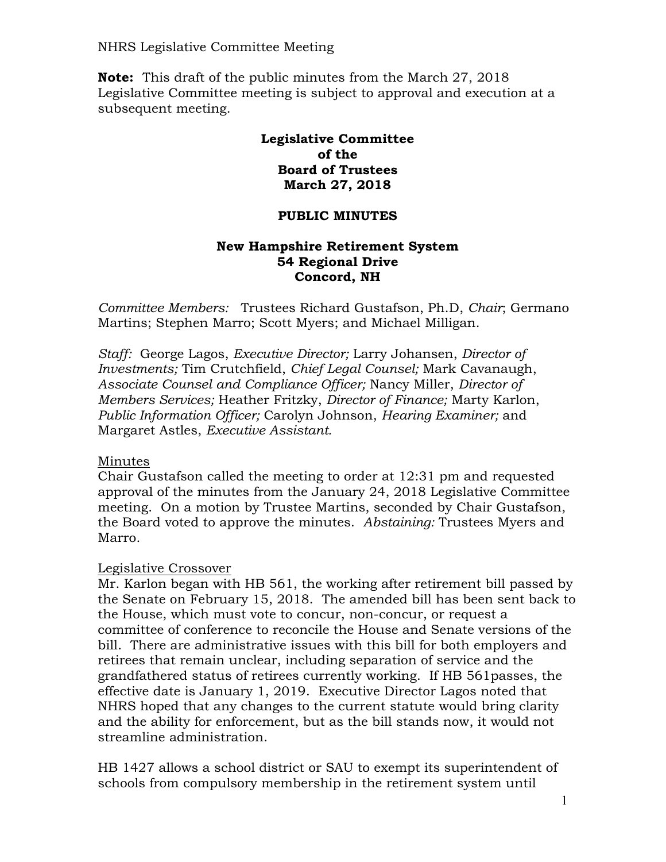NHRS Legislative Committee Meeting

**Note:** This draft of the public minutes from the March 27, 2018 Legislative Committee meeting is subject to approval and execution at a subsequent meeting.

#### **Legislative Committee of the Board of Trustees March 27, 2018**

### **PUBLIC MINUTES**

### **New Hampshire Retirement System 54 Regional Drive Concord, NH**

*Committee Members:* Trustees Richard Gustafson, Ph.D, *Chair*; Germano Martins; Stephen Marro; Scott Myers; and Michael Milligan.

*Staff:* George Lagos, *Executive Director;* Larry Johansen, *Director of Investments;* Tim Crutchfield, *Chief Legal Counsel;* Mark Cavanaugh, *Associate Counsel and Compliance Officer;* Nancy Miller, *Director of Members Services;* Heather Fritzky, *Director of Finance;* Marty Karlon, *Public Information Officer;* Carolyn Johnson, *Hearing Examiner;* and Margaret Astles, *Executive Assistant.* 

# Minutes

Chair Gustafson called the meeting to order at 12:31 pm and requested approval of the minutes from the January 24, 2018 Legislative Committee meeting. On a motion by Trustee Martins, seconded by Chair Gustafson, the Board voted to approve the minutes. *Abstaining:* Trustees Myers and Marro.

# Legislative Crossover

Mr. Karlon began with HB 561, the working after retirement bill passed by the Senate on February 15, 2018. The amended bill has been sent back to the House, which must vote to concur, non-concur, or request a committee of conference to reconcile the House and Senate versions of the bill. There are administrative issues with this bill for both employers and retirees that remain unclear, including separation of service and the grandfathered status of retirees currently working. If HB 561passes, the effective date is January 1, 2019. Executive Director Lagos noted that NHRS hoped that any changes to the current statute would bring clarity and the ability for enforcement, but as the bill stands now, it would not streamline administration.

HB 1427 allows a school district or SAU to exempt its superintendent of schools from compulsory membership in the retirement system until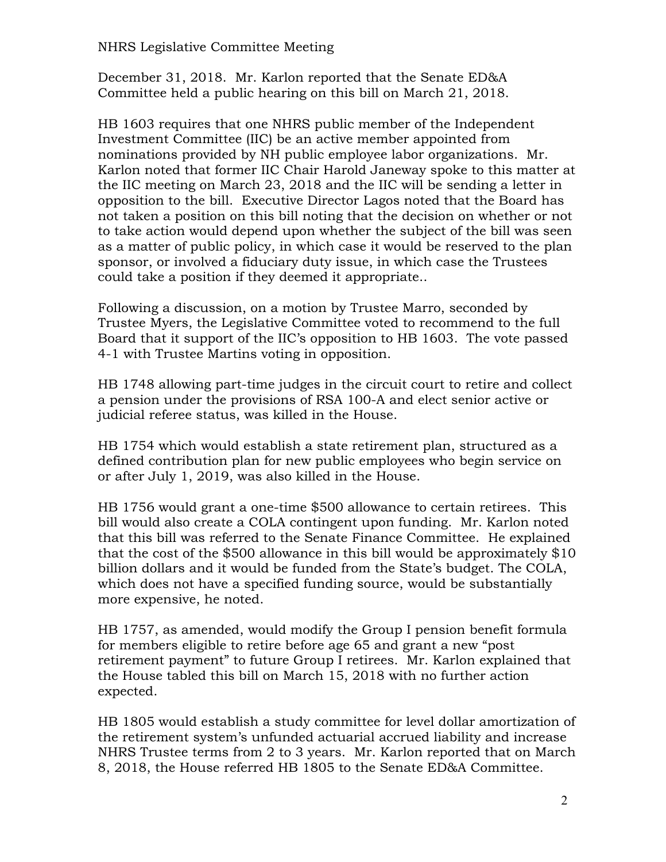### NHRS Legislative Committee Meeting

December 31, 2018. Mr. Karlon reported that the Senate ED&A Committee held a public hearing on this bill on March 21, 2018.

HB 1603 requires that one NHRS public member of the Independent Investment Committee (IIC) be an active member appointed from nominations provided by NH public employee labor organizations. Mr. Karlon noted that former IIC Chair Harold Janeway spoke to this matter at the IIC meeting on March 23, 2018 and the IIC will be sending a letter in opposition to the bill. Executive Director Lagos noted that the Board has not taken a position on this bill noting that the decision on whether or not to take action would depend upon whether the subject of the bill was seen as a matter of public policy, in which case it would be reserved to the plan sponsor, or involved a fiduciary duty issue, in which case the Trustees could take a position if they deemed it appropriate..

Following a discussion, on a motion by Trustee Marro, seconded by Trustee Myers, the Legislative Committee voted to recommend to the full Board that it support of the IIC's opposition to HB 1603. The vote passed 4-1 with Trustee Martins voting in opposition.

HB 1748 allowing part-time judges in the circuit court to retire and collect a pension under the provisions of RSA 100-A and elect senior active or judicial referee status, was killed in the House.

HB 1754 which would establish a state retirement plan, structured as a defined contribution plan for new public employees who begin service on or after July 1, 2019, was also killed in the House.

HB 1756 would grant a one-time \$500 allowance to certain retirees. This bill would also create a COLA contingent upon funding. Mr. Karlon noted that this bill was referred to the Senate Finance Committee. He explained that the cost of the \$500 allowance in this bill would be approximately \$10 billion dollars and it would be funded from the State's budget. The COLA, which does not have a specified funding source, would be substantially more expensive, he noted.

HB 1757, as amended, would modify the Group I pension benefit formula for members eligible to retire before age 65 and grant a new "post retirement payment" to future Group I retirees. Mr. Karlon explained that the House tabled this bill on March 15, 2018 with no further action expected.

HB 1805 would establish a study committee for level dollar amortization of the retirement system's unfunded actuarial accrued liability and increase NHRS Trustee terms from 2 to 3 years. Mr. Karlon reported that on March 8, 2018, the House referred HB 1805 to the Senate ED&A Committee.